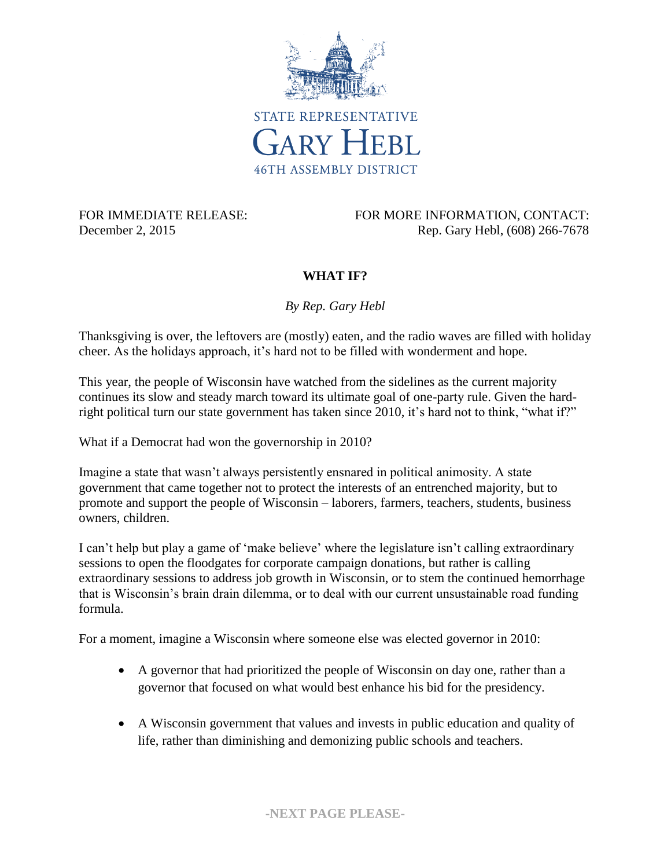

FOR IMMEDIATE RELEASE: FOR MORE INFORMATION, CONTACT: December 2, 2015 Rep. Gary Hebl, (608) 266-7678

## **WHAT IF?**

*By Rep. Gary Hebl*

Thanksgiving is over, the leftovers are (mostly) eaten, and the radio waves are filled with holiday cheer. As the holidays approach, it's hard not to be filled with wonderment and hope.

This year, the people of Wisconsin have watched from the sidelines as the current majority continues its slow and steady march toward its ultimate goal of one-party rule. Given the hardright political turn our state government has taken since 2010, it's hard not to think, "what if?"

What if a Democrat had won the governorship in 2010?

Imagine a state that wasn't always persistently ensnared in political animosity. A state government that came together not to protect the interests of an entrenched majority, but to promote and support the people of Wisconsin – laborers, farmers, teachers, students, business owners, children.

I can't help but play a game of 'make believe' where the legislature isn't calling extraordinary sessions to open the floodgates for corporate campaign donations, but rather is calling extraordinary sessions to address job growth in Wisconsin, or to stem the continued hemorrhage that is Wisconsin's brain drain dilemma, or to deal with our current unsustainable road funding formula.

For a moment, imagine a Wisconsin where someone else was elected governor in 2010:

- A governor that had prioritized the people of Wisconsin on day one, rather than a governor that focused on what would best enhance his bid for the presidency.
- A Wisconsin government that values and invests in public education and quality of life, rather than diminishing and demonizing public schools and teachers.